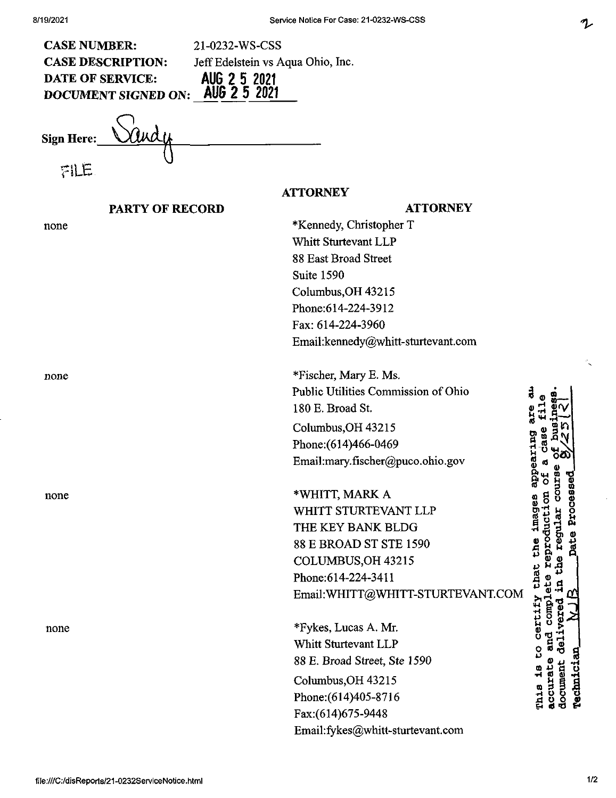| <b>CASE NUMBER:</b><br>21-0232-WS-CSS<br><b>CASE DESCRIPTION:</b><br>Jeff Edelstein vs Aqua Ohio, Inc.<br>AUG 2 5 2021<br>AUG 2 5 2021<br><b>DATE OF SERVICE:</b><br><b>DOCUMENT SIGNED ON:</b> |                                     |                                             |
|-------------------------------------------------------------------------------------------------------------------------------------------------------------------------------------------------|-------------------------------------|---------------------------------------------|
| Sign Here:                                                                                                                                                                                      |                                     |                                             |
| FILE                                                                                                                                                                                            |                                     |                                             |
| <b>ATTORNEY</b>                                                                                                                                                                                 |                                     |                                             |
| <b>PARTY OF RECORD</b>                                                                                                                                                                          | <b>ATTORNEY</b>                     |                                             |
| none                                                                                                                                                                                            | *Kennedy, Christopher T             |                                             |
|                                                                                                                                                                                                 | Whitt Sturtevant LLP                |                                             |
|                                                                                                                                                                                                 | 88 East Broad Street                |                                             |
|                                                                                                                                                                                                 | Suite 1590                          |                                             |
|                                                                                                                                                                                                 | Columbus, OH 43215                  |                                             |
|                                                                                                                                                                                                 | Phone:614-224-3912                  |                                             |
|                                                                                                                                                                                                 | Fax: 614-224-3960                   |                                             |
|                                                                                                                                                                                                 | Email:kennedy@whitt-sturtevant.com  |                                             |
| none                                                                                                                                                                                            | *Fischer, Mary E. Ms.               |                                             |
|                                                                                                                                                                                                 | Public Utilities Commission of Ohio |                                             |
|                                                                                                                                                                                                 | 180 E. Broad St.                    |                                             |
|                                                                                                                                                                                                 | Columbus, OH 43215                  |                                             |
|                                                                                                                                                                                                 | Phone: (614)466-0469                |                                             |
|                                                                                                                                                                                                 | Email:mary.fischer@puco.ohio.gov    | ppearing<br>oσ                              |
|                                                                                                                                                                                                 |                                     | e<br>H<br>뉭<br>멓                            |
| none                                                                                                                                                                                            | *WHITT, MARK A                      | <b>COU</b><br>ceas                          |
|                                                                                                                                                                                                 | WHITT STURTEVANT LLP                | imagea<br>Ŏ<br>Aq                           |
|                                                                                                                                                                                                 | THE KEY BANK BLDG                   | regular                                     |
|                                                                                                                                                                                                 | 88 E BROAD ST STE 1590              | eproduction<br>the                          |
|                                                                                                                                                                                                 | COLUMBUS, OH 43215                  | ۶.<br>£                                     |
|                                                                                                                                                                                                 | Phone: 614-224-3411                 | that<br>뉭                                   |
|                                                                                                                                                                                                 | Email: WHITT@WHITT-STURTEVANT.COM   | $\frac{1}{2}$                               |
| none                                                                                                                                                                                            | *Fykes, Lucas A. Mr.                | certify<br>ä                                |
|                                                                                                                                                                                                 | Whitt Sturtevant LLP                | 官<br>್ಠ<br>ō                                |
|                                                                                                                                                                                                 | 88 E. Broad Street, Ste 1590        | ဥ                                           |
|                                                                                                                                                                                                 | Columbus, OH 43215                  | document<br><b>Technici</b><br>ø<br>accurat |
|                                                                                                                                                                                                 | Phone: (614) 405-8716               | This                                        |
|                                                                                                                                                                                                 | Fax:(614)675-9448                   |                                             |
|                                                                                                                                                                                                 | Email:fykes@whitt-sturtevant.com    |                                             |
|                                                                                                                                                                                                 |                                     |                                             |

 $\mathcal{L}$ 

 $\ddot{\phantom{0}}$